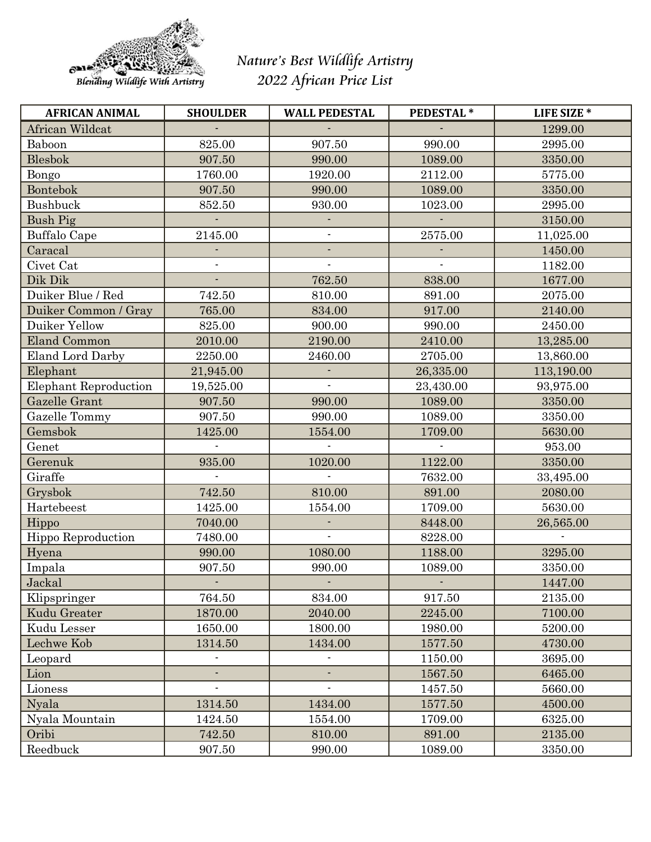

## *Nature's Best Wildlife Artistry 2022 African Price List*

| <b>AFRICAN ANIMAL</b>        | <b>SHOULDER</b> | <b>WALL PEDESTAL</b>     | PEDESTAL* | LIFE SIZE <sup>*</sup> |
|------------------------------|-----------------|--------------------------|-----------|------------------------|
| African Wildcat              |                 |                          |           | 1299.00                |
| Baboon                       | 825.00          | 907.50                   | 990.00    | 2995.00                |
| Blesbok                      | 907.50          | 990.00                   | 1089.00   | 3350.00                |
| Bongo                        | 1760.00         | 1920.00                  | 2112.00   | 5775.00                |
| Bontebok                     | 907.50          | 990.00                   | 1089.00   | 3350.00                |
| Bushbuck                     | 852.50          | 930.00                   | 1023.00   | 2995.00                |
| <b>Bush Pig</b>              |                 |                          |           | 3150.00                |
| <b>Buffalo</b> Cape          | 2145.00         | $\overline{\phantom{0}}$ | 2575.00   | 11,025.00              |
| Caracal                      |                 | ä,                       |           | 1450.00                |
| Civet Cat                    |                 |                          |           | 1182.00                |
| Dik Dik                      | $\blacksquare$  | 762.50                   | 838.00    | 1677.00                |
| Duiker Blue / Red            | 742.50          | 810.00                   | 891.00    | 2075.00                |
| Duiker Common / Gray         | 765.00          | 834.00                   | 917.00    | 2140.00                |
| Duiker Yellow                | 825.00          | 900.00                   | 990.00    | 2450.00                |
| Eland Common                 | 2010.00         | 2190.00                  | 2410.00   | 13,285.00              |
| <b>Eland Lord Darby</b>      | 2250.00         | 2460.00                  | 2705.00   | 13,860.00              |
| Elephant                     | 21,945.00       |                          | 26,335.00 | 113,190.00             |
| <b>Elephant Reproduction</b> | 19,525.00       | $\mathbf{r}$             | 23,430.00 | 93,975.00              |
| Gazelle Grant                | 907.50          | 990.00                   | 1089.00   | 3350.00                |
| Gazelle Tommy                | 907.50          | 990.00                   | 1089.00   | 3350.00                |
| Gemsbok                      | 1425.00         | 1554.00                  | 1709.00   | 5630.00                |
| Genet                        |                 |                          |           | 953.00                 |
| Gerenuk                      | 935.00          | 1020.00                  | 1122.00   | 3350.00                |
| Giraffe                      |                 |                          | 7632.00   | 33,495.00              |
| Grysbok                      | 742.50          | 810.00                   | 891.00    | 2080.00                |
| Hartebeest                   | 1425.00         | 1554.00                  | 1709.00   | 5630.00                |
| Hippo                        | 7040.00         |                          | 8448.00   | 26,565.00              |
| Hippo Reproduction           | 7480.00         | $\blacksquare$           | 8228.00   | $\blacksquare$         |
| Hyena                        | 990.00          | 1080.00                  | 1188.00   | 3295.00                |
| Impala                       | 907.50          | 990.00                   | 1089.00   | 3350.00                |
| Jackal                       |                 |                          |           | 1447.00                |
| Klipspringer                 | 764.50          | 834.00                   | 917.50    | 2135.00                |
| Kudu Greater                 | 1870.00         | 2040.00                  | 2245.00   | 7100.00                |
| Kudu Lesser                  | 1650.00         | 1800.00                  | 1980.00   | 5200.00                |
| Lechwe Kob                   | 1314.50         | 1434.00                  | 1577.50   | 4730.00                |
| Leopard                      |                 |                          | 1150.00   | 3695.00                |
| Lion                         | ÷.              | ä,                       | 1567.50   | 6465.00                |
| Lioness                      | $\blacksquare$  | $\blacksquare$           | 1457.50   | 5660.00                |
| Nyala                        | 1314.50         | 1434.00                  | 1577.50   | 4500.00                |
| Nyala Mountain               | 1424.50         | 1554.00                  | 1709.00   | 6325.00                |
| Oribi                        | 742.50          | 810.00                   | 891.00    | 2135.00                |
| Reedbuck                     | 907.50          | 990.00                   | 1089.00   | 3350.00                |